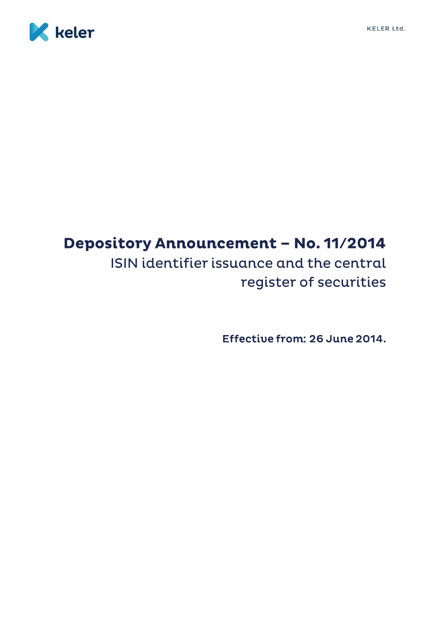



# Depository Announcement - No. 11/2014 ISIN identifier issuance and the central register of securities

Effective from: 26 June 2014.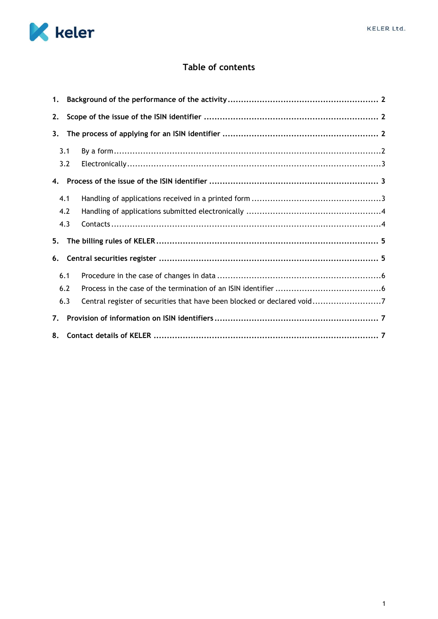

# **Table of contents**

| 1. |     |                                                                         |
|----|-----|-------------------------------------------------------------------------|
| 2. |     |                                                                         |
| 3. |     |                                                                         |
|    | 3.1 |                                                                         |
|    | 3.2 |                                                                         |
| 4. |     |                                                                         |
|    | 4.1 |                                                                         |
|    | 4.2 |                                                                         |
|    | 4.3 |                                                                         |
| 5. |     |                                                                         |
| 6. |     |                                                                         |
|    | 6.1 |                                                                         |
|    | 6.2 |                                                                         |
|    | 6.3 | Central register of securities that have been blocked or declared void7 |
| 7. |     |                                                                         |
| 8. |     |                                                                         |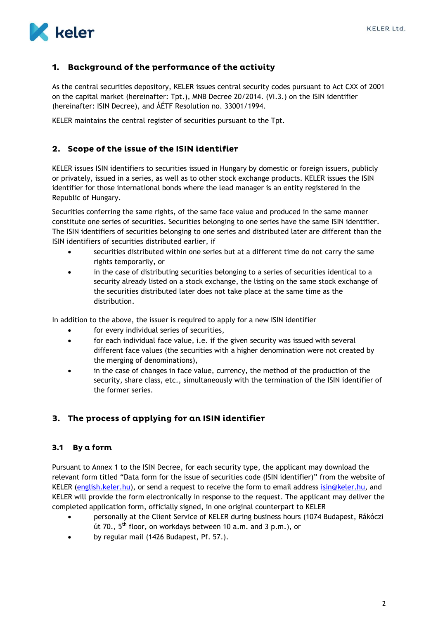

# <span id="page-2-0"></span>1. Background of the performance of the activity

As the central securities depository, KELER issues central security codes pursuant to Act CXX of 2001 on the capital market (hereinafter: Tpt.), MNB Decree 20/2014. (VI.3.) on the ISIN identifier (hereinafter: ISIN Decree), and ÁÉTF Resolution no. 33001/1994.

KELER maintains the central register of securities pursuant to the Tpt.

# <span id="page-2-1"></span>2. Scope of the issue of the ISIN identifier

KELER issues ISIN identifiers to securities issued in Hungary by domestic or foreign issuers, publicly or privately, issued in a series, as well as to other stock exchange products. KELER issues the ISIN identifier for those international bonds where the lead manager is an entity registered in the Republic of Hungary.

Securities conferring the same rights, of the same face value and produced in the same manner constitute one series of securities. Securities belonging to one series have the same ISIN identifier. The ISIN identifiers of securities belonging to one series and distributed later are different than the ISIN identifiers of securities distributed earlier, if

- securities distributed within one series but at a different time do not carry the same rights temporarily, or
- in the case of distributing securities belonging to a series of securities identical to a security already listed on a stock exchange, the listing on the same stock exchange of the securities distributed later does not take place at the same time as the distribution.

In addition to the above, the issuer is required to apply for a new ISIN identifier

- for every individual series of securities,
- for each individual face value, i.e. if the given security was issued with several different face values (the securities with a higher denomination were not created by the merging of denominations),
- in the case of changes in face value, currency, the method of the production of the security, share class, etc., simultaneously with the termination of the ISIN identifier of the former series.

# <span id="page-2-2"></span>3. The process of applying for an ISIN identifier

#### <span id="page-2-3"></span>By a form  $3.1$

Pursuant to Annex 1 to the ISIN Decree, for each security type, the applicant may download the relevant form titled "Data form for the issue of securities code (ISIN identifier)" from the website of KELER [\(english.keler.hu\)](https://english.keler.hu/), or send a request to receive the form to email address [isin@keler.hu,](mailto:isin@keler.hu) and KELER will provide the form electronically in response to the request. The applicant may deliver the completed application form, officially signed, in one original counterpart to KELER

- personally at the Client Service of KELER during business hours (1074 Budapest, Rákóczi út 70., 5<sup>th</sup> floor, on workdays between 10 a.m. and 3 p.m.), or
- by regular mail (1426 Budapest, Pf. 57.).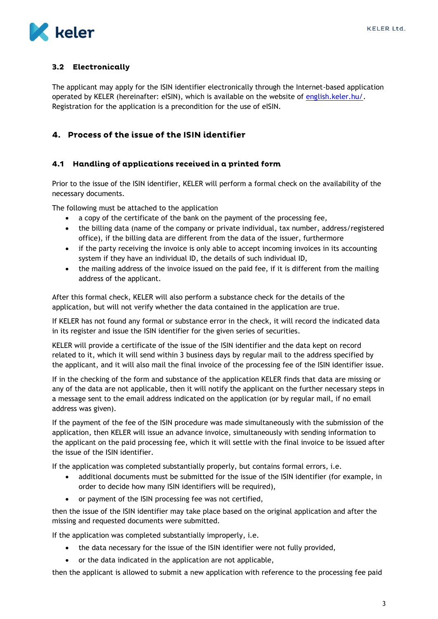

### <span id="page-3-0"></span>3.2 Electronically

The applicant may apply for the ISIN identifier electronically through the Internet-based application operated by KELER (hereinafter: eISIN), which is available on the website of [english.keler.hu/.](https://english.keler.hu/) Registration for the application is a precondition for the use of eISIN.

# <span id="page-3-1"></span>4. Process of the issue of the ISIN identifier

#### <span id="page-3-2"></span>4.1 Handling of applications received in a printed form

Prior to the issue of the ISIN identifier, KELER will perform a formal check on the availability of the necessary documents.

The following must be attached to the application

- a copy of the certificate of the bank on the payment of the processing fee,
- the billing data (name of the company or private individual, tax number, address/registered office), if the billing data are different from the data of the issuer, furthermore
- if the party receiving the invoice is only able to accept incoming invoices in its accounting system if they have an individual ID, the details of such individual ID,
- the mailing address of the invoice issued on the paid fee, if it is different from the mailing address of the applicant.

After this formal check, KELER will also perform a substance check for the details of the application, but will not verify whether the data contained in the application are true.

If KELER has not found any formal or substance error in the check, it will record the indicated data in its register and issue the ISIN identifier for the given series of securities.

KELER will provide a certificate of the issue of the ISIN identifier and the data kept on record related to it, which it will send within 3 business days by regular mail to the address specified by the applicant, and it will also mail the final invoice of the processing fee of the ISIN identifier issue.

If in the checking of the form and substance of the application KELER finds that data are missing or any of the data are not applicable, then it will notify the applicant on the further necessary steps in a message sent to the email address indicated on the application (or by regular mail, if no email address was given).

If the payment of the fee of the ISIN procedure was made simultaneously with the submission of the application, then KELER will issue an advance invoice, simultaneously with sending information to the applicant on the paid processing fee, which it will settle with the final invoice to be issued after the issue of the ISIN identifier.

If the application was completed substantially properly, but contains formal errors, i.e.

- additional documents must be submitted for the issue of the ISIN identifier (for example, in order to decide how many ISIN identifiers will be required),
- or payment of the ISIN processing fee was not certified,

then the issue of the ISIN identifier may take place based on the original application and after the missing and requested documents were submitted.

If the application was completed substantially improperly, i.e.

- the data necessary for the issue of the ISIN identifier were not fully provided,
- or the data indicated in the application are not applicable,

then the applicant is allowed to submit a new application with reference to the processing fee paid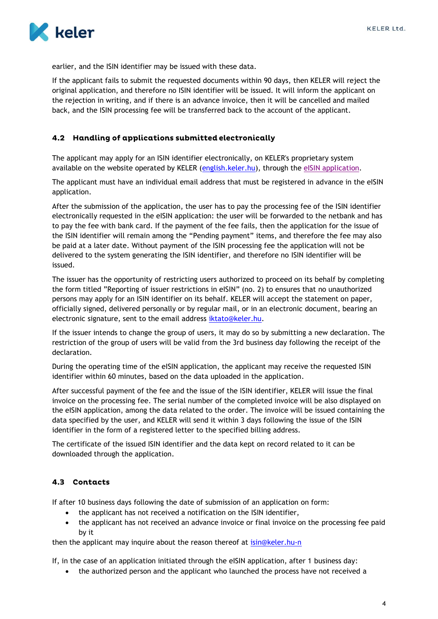

earlier, and the ISIN identifier may be issued with these data.

If the applicant fails to submit the requested documents within 90 days, then KELER will reject the original application, and therefore no ISIN identifier will be issued. It will inform the applicant on the rejection in writing, and if there is an advance invoice, then it will be cancelled and mailed back, and the ISIN processing fee will be transferred back to the account of the applicant.

#### <span id="page-4-0"></span>4.2 Handling of applications submitted electronically

The applicant may apply for an ISIN identifier electronically, on KELER's proprietary system available on the website operated by KELER [\(english.keler.hu\)](https://english.keler.hu/), through the [eISIN application.](https://isin.keler.hu/user/inputLogin.action)

The applicant must have an individual email address that must be registered in advance in the eISIN application.

After the submission of the application, the user has to pay the processing fee of the ISIN identifier electronically requested in the eISIN application: the user will be forwarded to the netbank and has to pay the fee with bank card. If the payment of the fee fails, then the application for the issue of the ISIN identifier will remain among the "Pending payment" items, and therefore the fee may also be paid at a later date. Without payment of the ISIN processing fee the application will not be delivered to the system generating the ISIN identifier, and therefore no ISIN identifier will be issued.

The issuer has the opportunity of restricting users authorized to proceed on its behalf by completing the form titled "Reporting of issuer restrictions in eISIN" (no. 2) to ensures that no unauthorized persons may apply for an ISIN identifier on its behalf. KELER will accept the statement on paper, officially signed, delivered personally or by regular mail, or in an electronic document, bearing an electronic signature, sent to the email address [iktato@keler.hu.](mailto:iktato@keler.hu)

If the issuer intends to change the group of users, it may do so by submitting a new declaration. The restriction of the group of users will be valid from the 3rd business day following the receipt of the declaration.

During the operating time of the eISIN application, the applicant may receive the requested ISIN identifier within 60 minutes, based on the data uploaded in the application.

After successful payment of the fee and the issue of the ISIN identifier, KELER will issue the final invoice on the processing fee. The serial number of the completed invoice will be also displayed on the eISIN application, among the data related to the order. The invoice will be issued containing the data specified by the user, and KELER will send it within 3 days following the issue of the ISIN identifier in the form of a registered letter to the specified billing address.

The certificate of the issued ISIN identifier and the data kept on record related to it can be downloaded through the application.

#### <span id="page-4-1"></span>4.3 Contacts

If after 10 business days following the date of submission of an application on form:

- the applicant has not received a notification on the ISIN identifier,
- the applicant has not received an advance invoice or final invoice on the processing fee paid by it

then the applicant may inquire about the reason thereof at [isin@keler.hu-n](mailto:isin@keler.hu-n)

If, in the case of an application initiated through the eISIN application, after 1 business day:

the authorized person and the applicant who launched the process have not received a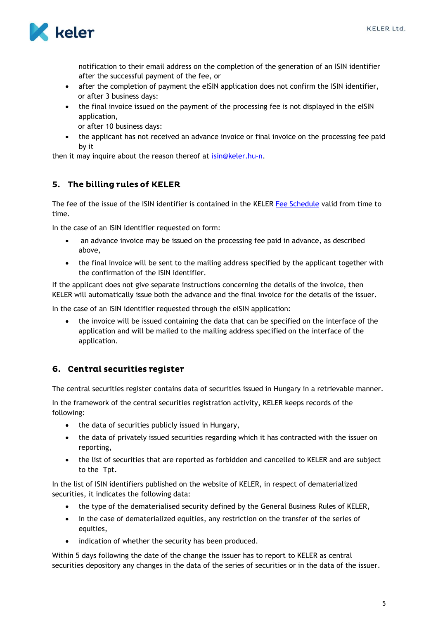

notification to their email address on the completion of the generation of an ISIN identifier after the successful payment of the fee, or

- after the completion of payment the eISIN application does not confirm the ISIN identifier, or after 3 business days:
- the final invoice issued on the payment of the processing fee is not displayed in the eISIN application,
	- or after 10 business days:
- the applicant has not received an advance invoice or final invoice on the processing fee paid by it

<span id="page-5-0"></span>then it may inquire about the reason thereof at [isin@keler.hu-n.](mailto:isin@keler.hu-n)

# 5. The billing rules of KELER

The fee of the issue of the ISIN identifier is contained in the KELER [Fee Schedule](https://english.keler.hu/Key%20documents/Regulatory%20documents/Fee%20Schedules/) valid from time to time.

In the case of an ISIN identifier requested on form:

- an advance invoice may be issued on the processing fee paid in advance, as described above,
- the final invoice will be sent to the mailing address specified by the applicant together with the confirmation of the ISIN identifier.

If the applicant does not give separate instructions concerning the details of the invoice, then KELER will automatically issue both the advance and the final invoice for the details of the issuer.

In the case of an ISIN identifier requested through the eISIN application:

 the invoice will be issued containing the data that can be specified on the interface of the application and will be mailed to the mailing address specified on the interface of the application.

# <span id="page-5-1"></span>6. Central securities register

The central securities register contains data of securities issued in Hungary in a retrievable manner.

In the framework of the central securities registration activity, KELER keeps records of the following:

- the data of securities publicly issued in Hungary,
- the data of privately issued securities regarding which it has contracted with the issuer on reporting,
- the list of securities that are reported as forbidden and cancelled to KELER and are subject to the Tpt.

In the list of ISIN identifiers published on the website of KELER, in respect of dematerialized securities, it indicates the following data:

- the type of the dematerialised security defined by the General Business Rules of KELER,
- in the case of dematerialized equities, any restriction on the transfer of the series of equities,
- indication of whether the security has been produced.

Within 5 days following the date of the change the issuer has to report to KELER as central securities depository any changes in the data of the series of securities or in the data of the issuer.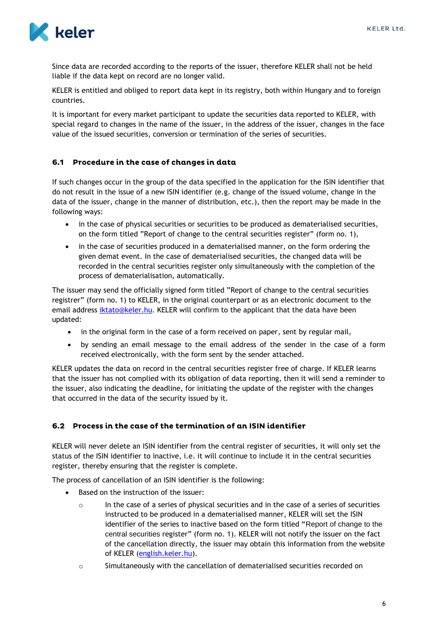

Since data are recorded according to the reports of the issuer, therefore KELER shall not be held liable if the data kept on record are no longer valid.

KELER is entitled and obliged to report data kept in its registry, both within Hungary and to foreign countries.

It is important for every market participant to update the securities data reported to KELER, with special regard to changes in the name of the issuer, in the address of the issuer, changes in the face value of the issued securities, conversion or termination of the series of securities.

#### <span id="page-6-0"></span>6.1 Procedure in the case of changes in data

If such changes occur in the group of the data specified in the application for the ISIN identifier that do not result in the issue of a new ISIN identifier (e.g. change of the issued volume, change in the data of the issuer, change in the manner of distribution, etc.), then the report may be made in the following ways:

- in the case of physical securities or securities to be produced as dematerialised securities, on the form titled "Report of change to the central securities register" (form no. 1),
- in the case of securities produced in a dematerialised manner, on the form ordering the given demat event. In the case of dematerialised securities, the changed data will be recorded in the central securities register only simultaneously with the completion of the process of dematerialisation, automatically.

The issuer may send the officially signed form titled "Report of change to the central securities registrer" (form no. 1) to KELER, in the original counterpart or as an electronic document to the email address [iktato@keler.hu.](mailto:iktato@keler.hu) KELER will confirm to the applicant that the data have been updated:

- in the original form in the case of a form received on paper, sent by regular mail,
- by sending an email message to the email address of the sender in the case of a form received electronically, with the form sent by the sender attached.

KELER updates the data on record in the central securities register free of charge. If KELER learns that the issuer has not complied with its obligation of data reporting, then it will send a reminder to the issuer, also indicating the deadline, for initiating the update of the register with the changes that occurred in the data of the security issued by it.

#### <span id="page-6-1"></span>6.2 Process in the case of the termination of an ISIN identifier

KELER will never delete an ISIN identifier from the central register of securities, it will only set the status of the ISIN identifier to inactive, i.e. it will continue to include it in the central securities register, thereby ensuring that the register is complete.

The process of cancellation of an ISIN identifier is the following:

- Based on the instruction of the issuer:
	- $\circ$  In the case of a series of physical securities and in the case of a series of securities instructed to be produced in a dematerialised manner, KELER will set the ISIN identifier of the series to inactive based on the form titled "Report of change to the central securities register" (form no. 1). KELER will not notify the issuer on the fact of the cancellation directly, the issuer may obtain this information from the website of KELER [\(english.keler.hu\)](https://english.keler.hu/).
	- o Simultaneously with the cancellation of dematerialised securities recorded on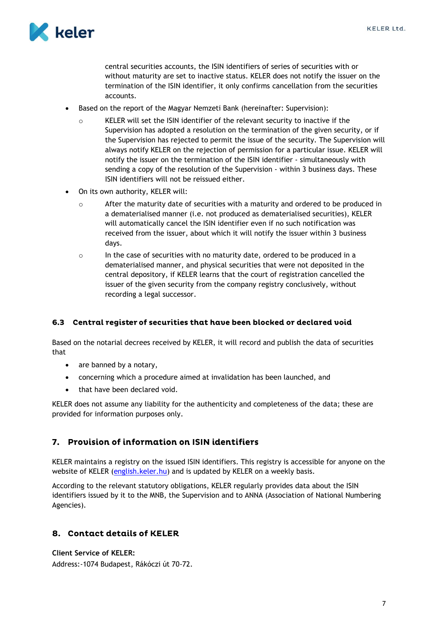

central securities accounts, the ISIN identifiers of series of securities with or without maturity are set to inactive status. KELER does not notify the issuer on the termination of the ISIN identifier, it only confirms cancellation from the securities accounts.

- Based on the report of the Magyar Nemzeti Bank (hereinafter: Supervision):
	- o KELER will set the ISIN identifier of the relevant security to inactive if the Supervision has adopted a resolution on the termination of the given security, or if the Supervision has rejected to permit the issue of the security. The Supervision will always notify KELER on the rejection of permission for a particular issue. KELER will notify the issuer on the termination of the ISIN identifier - simultaneously with sending a copy of the resolution of the Supervision - within 3 business days. These ISIN identifiers will not be reissued either.
- On its own authority, KELER will:
	- o After the maturity date of securities with a maturity and ordered to be produced in a dematerialised manner (i.e. not produced as dematerialised securities), KELER will automatically cancel the ISIN identifier even if no such notification was received from the issuer, about which it will notify the issuer within 3 business days.
	- $\circ$  In the case of securities with no maturity date, ordered to be produced in a dematerialised manner, and physical securities that were not deposited in the central depository, if KELER learns that the court of registration cancelled the issuer of the given security from the company registry conclusively, without recording a legal successor.

#### <span id="page-7-0"></span>6.3 Central register of securities that have been blocked or declared void

Based on the notarial decrees received by KELER, it will record and publish the data of securities that

- are banned by a notary,
- concerning which a procedure aimed at invalidation has been launched, and
- that have been declared void.

KELER does not assume any liability for the authenticity and completeness of the data; these are provided for information purposes only.

# <span id="page-7-1"></span>7. Provision of information on ISIN identifiers

KELER maintains a registry on the issued ISIN identifiers. This registry is accessible for anyone on the website of KELER [\(english.keler.hu\)](https://english.keler.hu/) and is updated by KELER on a weekly basis.

According to the relevant statutory obligations, KELER regularly provides data about the ISIN identifiers issued by it to the MNB, the Supervision and to ANNA (Association of National Numbering Agencies).

# <span id="page-7-2"></span>8. Contact details of KELER

**Client Service of KELER:** Address:-1074 Budapest, Rákóczi út 70-72.